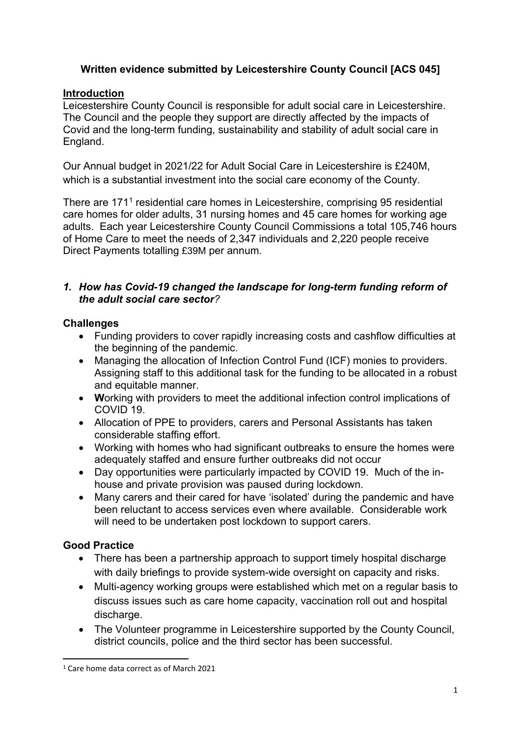# **Written evidence submitted by Leicestershire County Council [ACS 045]**

## **Introduction**

Leicestershire County Council is responsible for adult social care in Leicestershire. The Council and the people they support are directly affected by the impacts of Covid and the long-term funding, sustainability and stability of adult social care in England.

Our Annual budget in 2021/22 for Adult Social Care in Leicestershire is £240M, which is a substantial investment into the social care economy of the County.

There are 171<sup>1</sup> residential care homes in Leicestershire, comprising 95 residential care homes for older adults, 31 nursing homes and 45 care homes for working age adults. Each year Leicestershire County Council Commissions a total 105,746 hours of Home Care to meet the needs of 2,347 individuals and 2,220 people receive Direct Payments totalling £39M per annum.

## *1. How has Covid-19 changed the landscape for long-term funding reform of the adult social care sector?*

## **Challenges**

- Funding providers to cover rapidly increasing costs and cashflow difficulties at the beginning of the pandemic.
- Managing the allocation of Infection Control Fund (ICF) monies to providers. Assigning staff to this additional task for the funding to be allocated in a robust and equitable manner.
- **W**orking with providers to meet the additional infection control implications of COVID 19.
- Allocation of PPE to providers, carers and Personal Assistants has taken considerable staffing effort.
- Working with homes who had significant outbreaks to ensure the homes were adequately staffed and ensure further outbreaks did not occur
- Day opportunities were particularly impacted by COVID 19. Much of the inhouse and private provision was paused during lockdown.
- Many carers and their cared for have 'isolated' during the pandemic and have been reluctant to access services even where available. Considerable work will need to be undertaken post lockdown to support carers.

## **Good Practice**

- There has been a partnership approach to support timely hospital discharge with daily briefings to provide system-wide oversight on capacity and risks.
- Multi-agency working groups were established which met on a regular basis to discuss issues such as care home capacity, vaccination roll out and hospital discharge.
- The Volunteer programme in Leicestershire supported by the County Council, district councils, police and the third sector has been successful.

<sup>1</sup> Care home data correct as of March 2021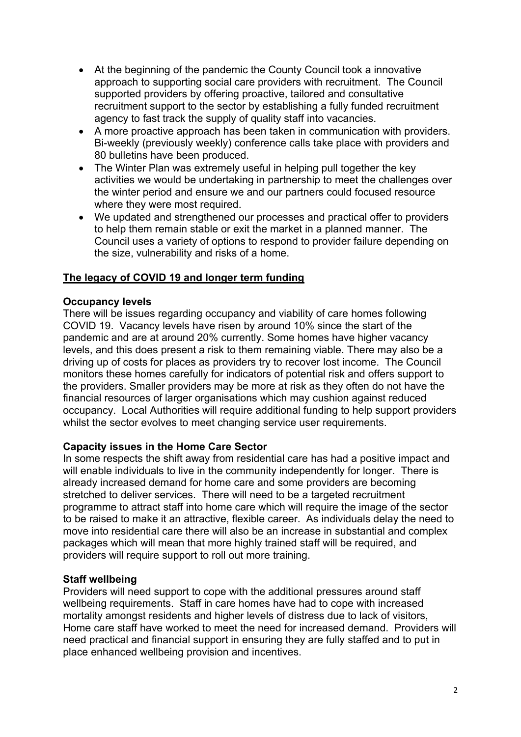- At the beginning of the pandemic the County Council took a innovative approach to supporting social care providers with recruitment. The Council supported providers by offering proactive, tailored and consultative recruitment support to the sector by establishing a fully funded recruitment agency to fast track the supply of quality staff into vacancies.
- A more proactive approach has been taken in communication with providers. Bi-weekly (previously weekly) conference calls take place with providers and 80 bulletins have been produced.
- The Winter Plan was extremely useful in helping pull together the key activities we would be undertaking in partnership to meet the challenges over the winter period and ensure we and our partners could focused resource where they were most required.
- We updated and strengthened our processes and practical offer to providers to help them remain stable or exit the market in a planned manner. The Council uses a variety of options to respond to provider failure depending on the size, vulnerability and risks of a home.

## **The legacy of COVID 19 and longer term funding**

### **Occupancy levels**

There will be issues regarding occupancy and viability of care homes following COVID 19. Vacancy levels have risen by around 10% since the start of the pandemic and are at around 20% currently. Some homes have higher vacancy levels, and this does present a risk to them remaining viable. There may also be a driving up of costs for places as providers try to recover lost income. The Council monitors these homes carefully for indicators of potential risk and offers support to the providers. Smaller providers may be more at risk as they often do not have the financial resources of larger organisations which may cushion against reduced occupancy. Local Authorities will require additional funding to help support providers whilst the sector evolves to meet changing service user requirements.

### **Capacity issues in the Home Care Sector**

In some respects the shift away from residential care has had a positive impact and will enable individuals to live in the community independently for longer. There is already increased demand for home care and some providers are becoming stretched to deliver services. There will need to be a targeted recruitment programme to attract staff into home care which will require the image of the sector to be raised to make it an attractive, flexible career. As individuals delay the need to move into residential care there will also be an increase in substantial and complex packages which will mean that more highly trained staff will be required, and providers will require support to roll out more training.

### **Staff wellbeing**

Providers will need support to cope with the additional pressures around staff wellbeing requirements. Staff in care homes have had to cope with increased mortality amongst residents and higher levels of distress due to lack of visitors, Home care staff have worked to meet the need for increased demand. Providers will need practical and financial support in ensuring they are fully staffed and to put in place enhanced wellbeing provision and incentives.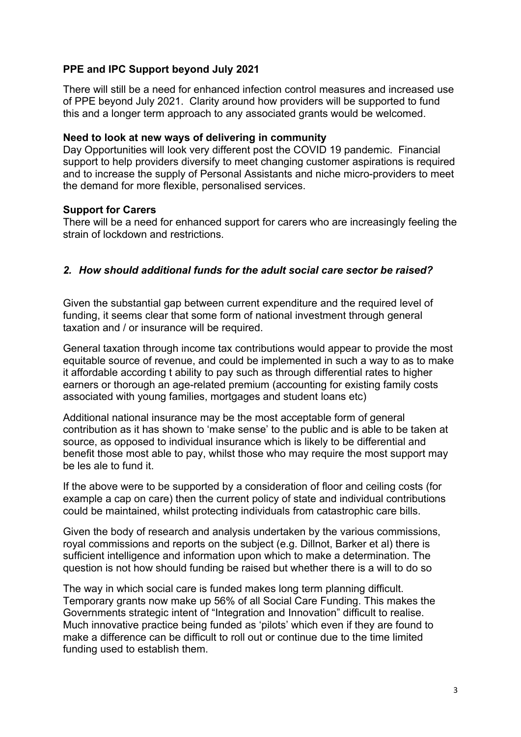## **PPE and IPC Support beyond July 2021**

There will still be a need for enhanced infection control measures and increased use of PPE beyond July 2021. Clarity around how providers will be supported to fund this and a longer term approach to any associated grants would be welcomed.

#### **Need to look at new ways of delivering in community**

Day Opportunities will look very different post the COVID 19 pandemic. Financial support to help providers diversify to meet changing customer aspirations is required and to increase the supply of Personal Assistants and niche micro-providers to meet the demand for more flexible, personalised services.

#### **Support for Carers**

There will be a need for enhanced support for carers who are increasingly feeling the strain of lockdown and restrictions.

## *2. How should additional funds for the adult social care sector be raised?*

Given the substantial gap between current expenditure and the required level of funding, it seems clear that some form of national investment through general taxation and / or insurance will be required.

General taxation through income tax contributions would appear to provide the most equitable source of revenue, and could be implemented in such a way to as to make it affordable according t ability to pay such as through differential rates to higher earners or thorough an age-related premium (accounting for existing family costs associated with young families, mortgages and student loans etc)

Additional national insurance may be the most acceptable form of general contribution as it has shown to 'make sense' to the public and is able to be taken at source, as opposed to individual insurance which is likely to be differential and benefit those most able to pay, whilst those who may require the most support may be les ale to fund it.

If the above were to be supported by a consideration of floor and ceiling costs (for example a cap on care) then the current policy of state and individual contributions could be maintained, whilst protecting individuals from catastrophic care bills.

Given the body of research and analysis undertaken by the various commissions, royal commissions and reports on the subject (e.g. Dillnot, Barker et al) there is sufficient intelligence and information upon which to make a determination. The question is not how should funding be raised but whether there is a will to do so

The way in which social care is funded makes long term planning difficult. Temporary grants now make up 56% of all Social Care Funding. This makes the Governments strategic intent of "Integration and Innovation" difficult to realise. Much innovative practice being funded as 'pilots' which even if they are found to make a difference can be difficult to roll out or continue due to the time limited funding used to establish them.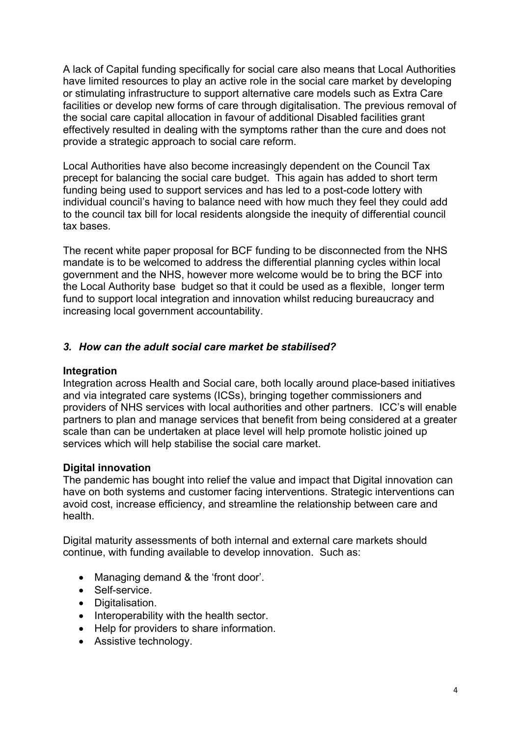A lack of Capital funding specifically for social care also means that Local Authorities have limited resources to play an active role in the social care market by developing or stimulating infrastructure to support alternative care models such as Extra Care facilities or develop new forms of care through digitalisation. The previous removal of the social care capital allocation in favour of additional Disabled facilities grant effectively resulted in dealing with the symptoms rather than the cure and does not provide a strategic approach to social care reform.

Local Authorities have also become increasingly dependent on the Council Tax precept for balancing the social care budget. This again has added to short term funding being used to support services and has led to a post-code lottery with individual council's having to balance need with how much they feel they could add to the council tax bill for local residents alongside the inequity of differential council tax bases.

The recent white paper proposal for BCF funding to be disconnected from the NHS mandate is to be welcomed to address the differential planning cycles within local government and the NHS, however more welcome would be to bring the BCF into the Local Authority base budget so that it could be used as a flexible, longer term fund to support local integration and innovation whilst reducing bureaucracy and increasing local government accountability.

## *3. How can the adult social care market be stabilised?*

### **Integration**

Integration across Health and Social care, both locally around place-based initiatives and via integrated care systems (ICSs), bringing together commissioners and providers of NHS services with local authorities and other partners. ICC's will enable partners to plan and manage services that benefit from being considered at a greater scale than can be undertaken at place level will help promote holistic joined up services which will help stabilise the social care market.

### **Digital innovation**

The pandemic has bought into relief the value and impact that Digital innovation can have on both systems and customer facing interventions. Strategic interventions can avoid cost, increase efficiency, and streamline the relationship between care and health.

Digital maturity assessments of both internal and external care markets should continue, with funding available to develop innovation. Such as:

- Managing demand & the 'front door'.
- Self-service.
- Digitalisation.
- Interoperability with the health sector.
- Help for providers to share information.
- Assistive technology.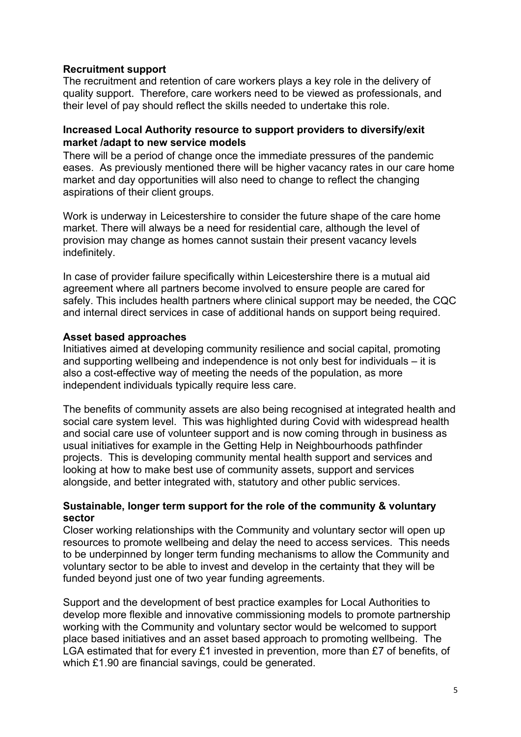## **Recruitment support**

The recruitment and retention of care workers plays a key role in the delivery of quality support. Therefore, care workers need to be viewed as professionals, and their level of pay should reflect the skills needed to undertake this role.

### **Increased Local Authority resource to support providers to diversify/exit market /adapt to new service models**

There will be a period of change once the immediate pressures of the pandemic eases. As previously mentioned there will be higher vacancy rates in our care home market and day opportunities will also need to change to reflect the changing aspirations of their client groups.

Work is underway in Leicestershire to consider the future shape of the care home market. There will always be a need for residential care, although the level of provision may change as homes cannot sustain their present vacancy levels indefinitely.

In case of provider failure specifically within Leicestershire there is a mutual aid agreement where all partners become involved to ensure people are cared for safely. This includes health partners where clinical support may be needed, the CQC and internal direct services in case of additional hands on support being required.

### **Asset based approaches**

Initiatives aimed at developing community resilience and social capital, promoting and supporting wellbeing and independence is not only best for individuals – it is also a cost-effective way of meeting the needs of the population, as more independent individuals typically require less care.

The benefits of community assets are also being recognised at integrated health and social care system level. This was highlighted during Covid with widespread health and social care use of volunteer support and is now coming through in business as usual initiatives for example in the Getting Help in Neighbourhoods pathfinder projects. This is developing community mental health support and services and looking at how to make best use of community assets, support and services alongside, and better integrated with, statutory and other public services.

#### **Sustainable, longer term support for the role of the community & voluntary sector**

Closer working relationships with the Community and voluntary sector will open up resources to promote wellbeing and delay the need to access services. This needs to be underpinned by longer term funding mechanisms to allow the Community and voluntary sector to be able to invest and develop in the certainty that they will be funded beyond just one of two year funding agreements.

Support and the development of best practice examples for Local Authorities to develop more flexible and innovative commissioning models to promote partnership working with the Community and voluntary sector would be welcomed to support place based initiatives and an asset based approach to promoting wellbeing. The LGA estimated that for every £1 invested in prevention, more than £7 of benefits, of which £1.90 are financial savings, could be generated.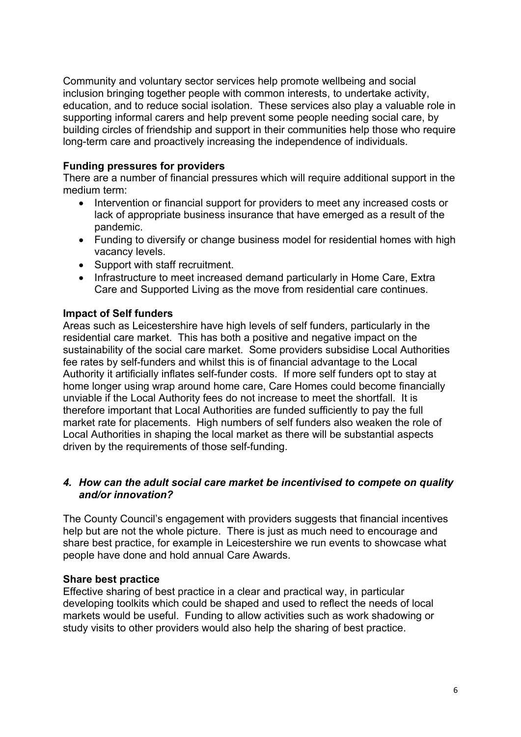Community and voluntary sector services help promote wellbeing and social inclusion bringing together people with common interests, to undertake activity, education, and to reduce social isolation. These services also play a valuable role in supporting informal carers and help prevent some people needing social care, by building circles of friendship and support in their communities help those who require long-term care and proactively increasing the independence of individuals.

## **Funding pressures for providers**

There are a number of financial pressures which will require additional support in the medium term:

- Intervention or financial support for providers to meet any increased costs or lack of appropriate business insurance that have emerged as a result of the pandemic.
- Funding to diversify or change business model for residential homes with high vacancy levels.
- Support with staff recruitment.
- Infrastructure to meet increased demand particularly in Home Care, Extra Care and Supported Living as the move from residential care continues.

## **Impact of Self funders**

Areas such as Leicestershire have high levels of self funders, particularly in the residential care market. This has both a positive and negative impact on the sustainability of the social care market. Some providers subsidise Local Authorities fee rates by self-funders and whilst this is of financial advantage to the Local Authority it artificially inflates self-funder costs. If more self funders opt to stay at home longer using wrap around home care, Care Homes could become financially unviable if the Local Authority fees do not increase to meet the shortfall. It is therefore important that Local Authorities are funded sufficiently to pay the full market rate for placements. High numbers of self funders also weaken the role of Local Authorities in shaping the local market as there will be substantial aspects driven by the requirements of those self-funding.

## *4. How can the adult social care market be incentivised to compete on quality and/or innovation?*

The County Council's engagement with providers suggests that financial incentives help but are not the whole picture. There is just as much need to encourage and share best practice, for example in Leicestershire we run events to showcase what people have done and hold annual Care Awards.

### **Share best practice**

Effective sharing of best practice in a clear and practical way, in particular developing toolkits which could be shaped and used to reflect the needs of local markets would be useful. Funding to allow activities such as work shadowing or study visits to other providers would also help the sharing of best practice.